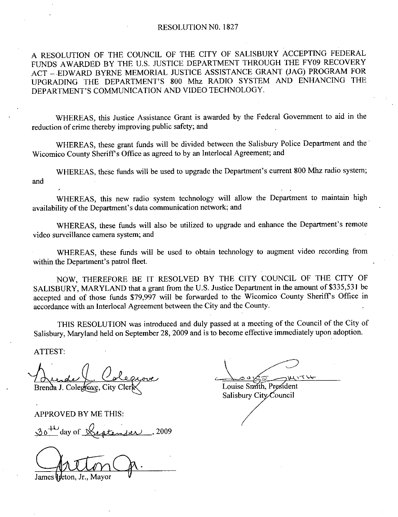A RESOLUTION OF THE COUNCIL OF THE CITY OF SALISBURY ACCEPTING FEDERAL FUNDS AWARDED BY THE U.S. JUSTICE DEPARTMENT THROUGH THE FY09 RECOVERY ACT - EDWARD BYRNE MEMORIAL JUSTICE ASSISTANCE GRANT (JAG) PROGRAM FOR RESOLUTION OF THE COUNCIL OF THE CITY OF SALISBURY ACCEPTING FEDERAL<br>FUNDS AWARDED BY THE U.S. JUSTICE DEPARTMENT THROUGH THE FY09 RECOVERY<br>ACT – EDWARD BYRNE MEMORIAL JUSTICE ASSISTANCE GRANT (JAG) PROGRAM FOR<br>UPGRADING T RESOLUTION OF THE COUNCIL OF THE CITY OF SALISBI<br>FUNDS AWARDED BY THE U.S. JUSTICE DEPARTMENT THRO<br>ACT – EDWARD BYRNE MEMORIAL JUSTICE ASSISTANCE GI<br>UPGRADING THE DEPARTMENT'S 800 Mhz RADIO SYSTE<br>DEPARTMENT'S COMMUNICATION

reduction of crime thereby improving public safety; and

WHEREAS, these grant funds will be divided between the Salisbury Police Department and the Wicomico County Sheriff's Office as agreed to by an Interlocal Agreement; and

WHEREAS, this Justice Assistance Grant is awarded by the Federal Government to aid in the<br>on of crime thereby improving public safety; and<br>WHEREAS, these grant funds will be divided between the Salisbury Police Department and WHEREAS, these grant<br>Wicomico County Sheriff's Office<br>WHEREAS, these funds<br>and<br>WHEREAS, this new r<br>availability of the Department's of<br>WHEREAS, these funds WHEREAS, these funds will be used to upgrade the Department's current 800 Mhz radio s<br>WHEREAS, this new radio system technology will allow the Department to maintaility of the Department's data communication network; and<br>W

WHEREAS, this new radio system technology will allow the Department to maintain high

availability of the Department's data communication network; and<br>
WHEREAS, these funds will also be utilized to upgrade<br>
video surveillance camera system; and<br>
WHEREAS, these funds will be used to obtain technol<br>
within th WHEREAS, these funds will also be utilized to upgrade and enhance the Department's remote video surveillance camera system; and

WHEREAS, these funds will be used to obtain technology to augment video recording from within the Department's patrol fleet.

NOW, THEREFORE BE IT RESOLVED BY THE CITY COUNCIL OF THE CITY OF SALISBURY, MARYLAND that a grant from the U.S. Justice Department in the amount of \$335,531 be accepted and of those funds \$79,997 will be forwarded to the Wicomico County Sheriff's Office in accordance with an Interlocal Agreement between the City and the County

THIS RESOLUTION was introduced and duly passed at ameeting of the Council of the City of Salisbury, Maryland held on September 28, 2009 and is to become effective immediately upon adoption.

ATTEST

Brenda J. Colegrove, City

APPROVED BY ME THIS

 $30<sup>+\omega</sup>$  day of Section 1er 2009

James lideton. Jr.. Mavor

**SWSTLL** Louise Smith, President

Salisbury City Council